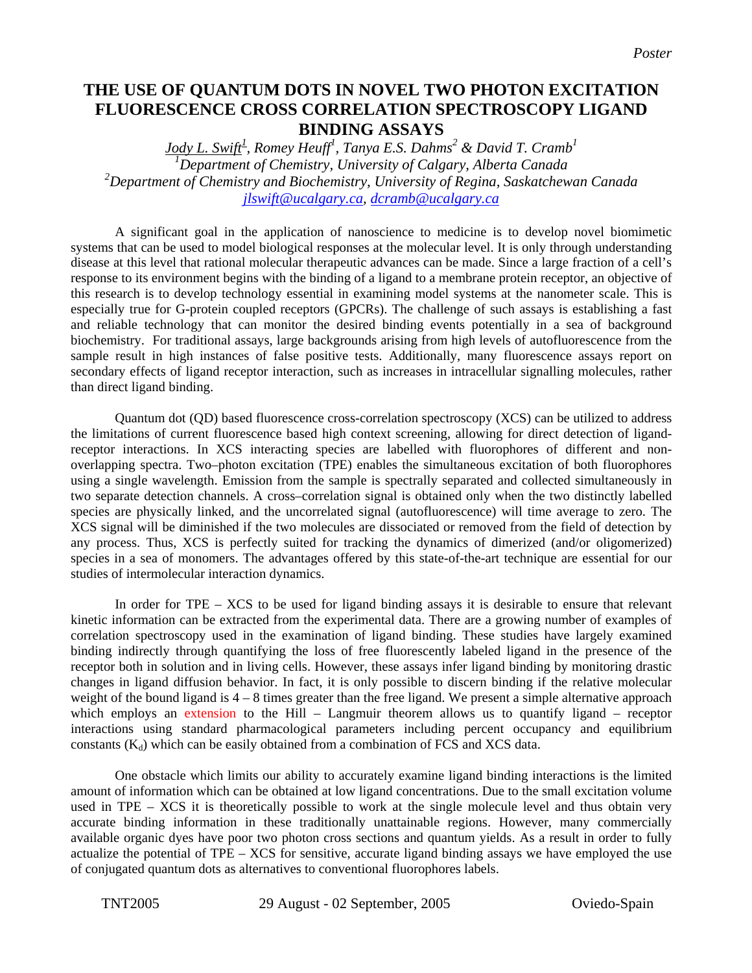## **THE USE OF QUANTUM DOTS IN NOVEL TWO PHOTON EXCITATION FLUORESCENCE CROSS CORRELATION SPECTROSCOPY LIGAND BINDING ASSAYS**

*Jody L. Swift<sup>1</sup> , Romey Heuff<sup>1</sup> , Tanya E.S. Dahms<sup>2</sup> & David T. Cramb1 1 Department of Chemistry, University of Calgary, Alberta Canada 2 Department of Chemistry and Biochemistry, University of Regina, Saskatchewan Canada [jlswift@ucalgary.ca,](mailto:jlswift@ucalgary.ca) [dcramb@ucalgary.ca](mailto:dcramb@ucalgary.ca)*

A significant goal in the application of nanoscience to medicine is to develop novel biomimetic systems that can be used to model biological responses at the molecular level. It is only through understanding disease at this level that rational molecular therapeutic advances can be made. Since a large fraction of a cell's response to its environment begins with the binding of a ligand to a membrane protein receptor, an objective of this research is to develop technology essential in examining model systems at the nanometer scale. This is especially true for G-protein coupled receptors (GPCRs). The challenge of such assays is establishing a fast and reliable technology that can monitor the desired binding events potentially in a sea of background biochemistry. For traditional assays, large backgrounds arising from high levels of autofluorescence from the sample result in high instances of false positive tests. Additionally, many fluorescence assays report on secondary effects of ligand receptor interaction, such as increases in intracellular signalling molecules, rather than direct ligand binding.

Quantum dot (QD) based fluorescence cross-correlation spectroscopy (XCS) can be utilized to address the limitations of current fluorescence based high context screening, allowing for direct detection of ligandreceptor interactions. In XCS interacting species are labelled with fluorophores of different and nonoverlapping spectra. Two–photon excitation (TPE) enables the simultaneous excitation of both fluorophores using a single wavelength. Emission from the sample is spectrally separated and collected simultaneously in two separate detection channels. A cross–correlation signal is obtained only when the two distinctly labelled species are physically linked, and the uncorrelated signal (autofluorescence) will time average to zero. The XCS signal will be diminished if the two molecules are dissociated or removed from the field of detection by any process. Thus, XCS is perfectly suited for tracking the dynamics of dimerized (and/or oligomerized) species in a sea of monomers. The advantages offered by this state-of-the-art technique are essential for our studies of intermolecular interaction dynamics.

In order for TPE – XCS to be used for ligand binding assays it is desirable to ensure that relevant kinetic information can be extracted from the experimental data. There are a growing number of examples of correlation spectroscopy used in the examination of ligand binding. These studies have largely examined binding indirectly through quantifying the loss of free fluorescently labeled ligand in the presence of the receptor both in solution and in living cells. However, these assays infer ligand binding by monitoring drastic changes in ligand diffusion behavior. In fact, it is only possible to discern binding if the relative molecular weight of the bound ligand is  $4 - 8$  times greater than the free ligand. We present a simple alternative approach which employs an extension to the Hill – Langmuir theorem allows us to quantify ligand – receptor interactions using standard pharmacological parameters including percent occupancy and equilibrium constants  $(K_d)$  which can be easily obtained from a combination of FCS and XCS data.

One obstacle which limits our ability to accurately examine ligand binding interactions is the limited amount of information which can be obtained at low ligand concentrations. Due to the small excitation volume used in TPE – XCS it is theoretically possible to work at the single molecule level and thus obtain very accurate binding information in these traditionally unattainable regions. However, many commercially available organic dyes have poor two photon cross sections and quantum yields. As a result in order to fully actualize the potential of TPE – XCS for sensitive, accurate ligand binding assays we have employed the use of conjugated quantum dots as alternatives to conventional fluorophores labels.